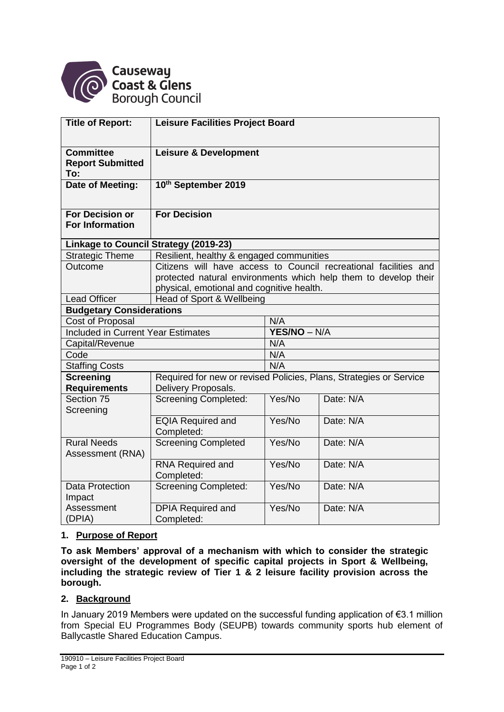

| <b>Title of Report:</b>                            | <b>Leisure Facilities Project Board</b>                            |                     |           |
|----------------------------------------------------|--------------------------------------------------------------------|---------------------|-----------|
| <b>Committee</b><br><b>Report Submitted</b><br>To: | <b>Leisure &amp; Development</b>                                   |                     |           |
| Date of Meeting:                                   | 10th September 2019                                                |                     |           |
| <b>For Decision or</b><br><b>For Information</b>   | <b>For Decision</b>                                                |                     |           |
| Linkage to Council Strategy (2019-23)              |                                                                    |                     |           |
| <b>Strategic Theme</b>                             | Resilient, healthy & engaged communities                           |                     |           |
| Outcome                                            | Citizens will have access to Council recreational facilities and   |                     |           |
|                                                    | protected natural environments which help them to develop their    |                     |           |
|                                                    | physical, emotional and cognitive health.                          |                     |           |
| <b>Lead Officer</b>                                | Head of Sport & Wellbeing                                          |                     |           |
| <b>Budgetary Considerations</b>                    |                                                                    |                     |           |
| Cost of Proposal                                   |                                                                    | N/A                 |           |
| <b>Included in Current Year Estimates</b>          |                                                                    | YES/NO - N/A<br>N/A |           |
| Capital/Revenue                                    |                                                                    | N/A                 |           |
| Code                                               |                                                                    | N/A                 |           |
| <b>Staffing Costs</b><br><b>Screening</b>          | Required for new or revised Policies, Plans, Strategies or Service |                     |           |
| <b>Requirements</b>                                | Delivery Proposals.                                                |                     |           |
| Section 75<br>Screening                            | <b>Screening Completed:</b>                                        | Yes/No              | Date: N/A |
|                                                    | <b>EQIA Required and</b><br>Completed:                             | Yes/No              | Date: N/A |
| <b>Rural Needs</b><br>Assessment (RNA)             | <b>Screening Completed</b>                                         | Yes/No              | Date: N/A |
|                                                    | RNA Required and<br>Completed:                                     | Yes/No              | Date: N/A |
| <b>Data Protection</b><br>Impact                   | <b>Screening Completed:</b>                                        | Yes/No              | Date: N/A |
| Assessment<br>(DPIA)                               | <b>DPIA Required and</b><br>Completed:                             | Yes/No              | Date: N/A |

## **1. Purpose of Report**

**To ask Members' approval of a mechanism with which to consider the strategic oversight of the development of specific capital projects in Sport & Wellbeing, including the strategic review of Tier 1 & 2 leisure facility provision across the borough.**

#### **2. Background**

In January 2019 Members were updated on the successful funding application of €3.1 million from Special EU Programmes Body (SEUPB) towards community sports hub element of Ballycastle Shared Education Campus.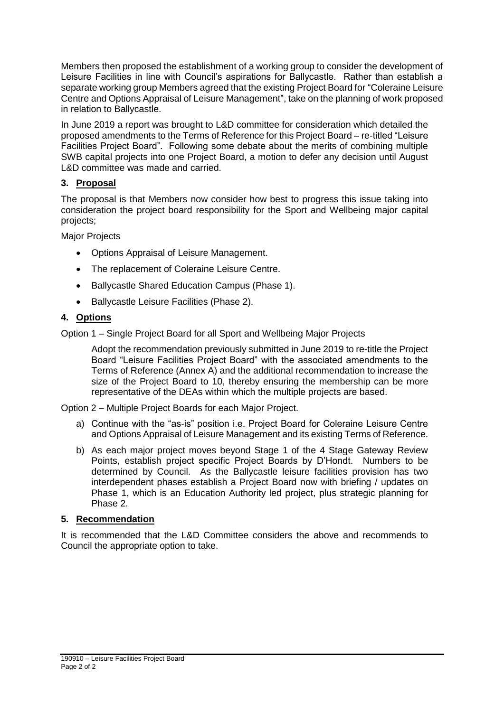Members then proposed the establishment of a working group to consider the development of Leisure Facilities in line with Council's aspirations for Ballycastle. Rather than establish a separate working group Members agreed that the existing Project Board for "Coleraine Leisure Centre and Options Appraisal of Leisure Management", take on the planning of work proposed in relation to Ballycastle.

In June 2019 a report was brought to L&D committee for consideration which detailed the proposed amendments to the Terms of Reference for this Project Board – re-titled "Leisure Facilities Project Board". Following some debate about the merits of combining multiple SWB capital projects into one Project Board, a motion to defer any decision until August L&D committee was made and carried.

# **3. Proposal**

The proposal is that Members now consider how best to progress this issue taking into consideration the project board responsibility for the Sport and Wellbeing major capital projects;

Major Projects

- Options Appraisal of Leisure Management.
- The replacement of Coleraine Leisure Centre.
- Ballycastle Shared Education Campus (Phase 1).
- Ballycastle Leisure Facilities (Phase 2).

## **4. Options**

Option 1 – Single Project Board for all Sport and Wellbeing Major Projects

Adopt the recommendation previously submitted in June 2019 to re-title the Project Board "Leisure Facilities Project Board" with the associated amendments to the Terms of Reference (Annex A) and the additional recommendation to increase the size of the Project Board to 10, thereby ensuring the membership can be more representative of the DEAs within which the multiple projects are based.

Option 2 – Multiple Project Boards for each Major Project.

- a) Continue with the "as-is" position i.e. Project Board for Coleraine Leisure Centre and Options Appraisal of Leisure Management and its existing Terms of Reference.
- b) As each major project moves beyond Stage 1 of the 4 Stage Gateway Review Points, establish project specific Project Boards by D'Hondt. Numbers to be determined by Council. As the Ballycastle leisure facilities provision has two interdependent phases establish a Project Board now with briefing / updates on Phase 1, which is an Education Authority led project, plus strategic planning for Phase 2.

#### **5. Recommendation**

It is recommended that the L&D Committee considers the above and recommends to Council the appropriate option to take.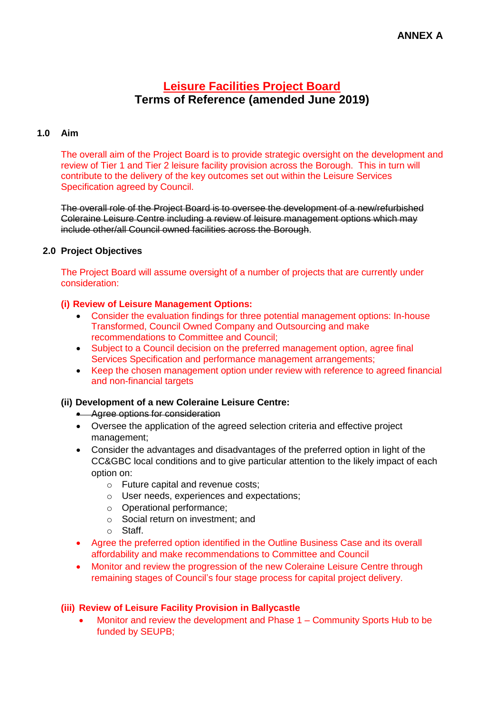# **ANNEX A**

# **Leisure Facilities Project Board Terms of Reference (amended June 2019)**

#### **1.0 Aim**

The overall aim of the Project Board is to provide strategic oversight on the development and review of Tier 1 and Tier 2 leisure facility provision across the Borough. This in turn will contribute to the delivery of the key outcomes set out within the Leisure Services Specification agreed by Council.

The overall role of the Project Board is to oversee the development of a new/refurbished Coleraine Leisure Centre including a review of leisure management options which may include other/all Council owned facilities across the Borough.

#### **2.0 Project Objectives**

The Project Board will assume oversight of a number of projects that are currently under consideration:

#### **(i) Review of Leisure Management Options:**

- Consider the evaluation findings for three potential management options: In-house Transformed, Council Owned Company and Outsourcing and make recommendations to Committee and Council;
- Subject to a Council decision on the preferred management option, agree final Services Specification and performance management arrangements;
- Keep the chosen management option under review with reference to agreed financial and non-financial targets

#### **(ii) Development of a new Coleraine Leisure Centre:**

- **Agree options for consideration**
- Oversee the application of the agreed selection criteria and effective project management;
- Consider the advantages and disadvantages of the preferred option in light of the CC&GBC local conditions and to give particular attention to the likely impact of each option on:
	- o Future capital and revenue costs;
	- o User needs, experiences and expectations;
	- o Operational performance;
	- o Social return on investment; and
	- o Staff.
- Agree the preferred option identified in the Outline Business Case and its overall affordability and make recommendations to Committee and Council
- Monitor and review the progression of the new Coleraine Leisure Centre through remaining stages of Council's four stage process for capital project delivery.

#### **(iii) Review of Leisure Facility Provision in Ballycastle**

 Monitor and review the development and Phase 1 – Community Sports Hub to be funded by SEUPB;